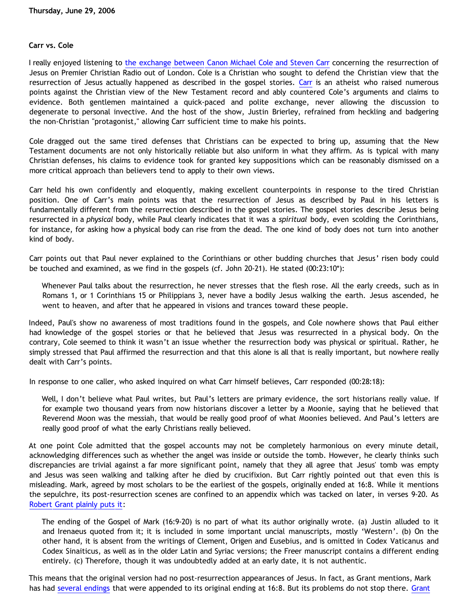## **Carr vs. Cole**

I really enjoyed listening to [the exchange between Canon Michael Cole and Steven Carr](http://tinyurl.com/krdcq) concerning the resurrection of Jesus on Premier Christian Radio out of London. Cole is a Christian who sought to defend the Christian view that the resurrection of Jesus actually happened as described in the gospel stories. [Carr](http://stevencarrwork.blogspot.com) is an atheist who raised numerous points against the Christian view of the New Testament record and ably countered Cole's arguments and claims to evidence. Both gentlemen maintained a quick-paced and polite exchange, never allowing the discussion to degenerate to personal invective. And the host of the show, Justin Brierley, refrained from heckling and badgering the non-Christian "protagonist," allowing Carr sufficient time to make his points.

Cole dragged out the same tired defenses that Christians can be expected to bring up, assuming that the New Testament documents are not only historically reliable but also uniform in what they affirm. As is typical with many Christian defenses, his claims to evidence took for granted key suppositions which can be reasonably dismissed on a more critical approach than believers tend to apply to their own views.

Carr held his own confidently and eloquently, making excellent counterpoints in response to the tired Christian position. One of Carr's main points was that the resurrection of Jesus as described by Paul in his letters is fundamentally different from the resurrection described in the gospel stories. The gospel stories describe Jesus being resurrected in a *physical* body, while Paul clearly indicates that it was a *spiritual* body, even scolding the Corinthians, for instance, for asking how a physical body can rise from the dead. The one kind of body does not turn into another kind of body.

Carr points out that Paul never explained to the Corinthians or other budding churches that Jesus' risen body could be touched and examined, as we find in the gospels (cf. John 20-21). He stated (00:23:10\*):

Whenever Paul talks about the resurrection, he never stresses that the flesh rose. All the early creeds, such as in Romans 1, or 1 Corinthians 15 or Philippians 3, never have a bodily Jesus walking the earth. Jesus ascended, he went to heaven, and after that he appeared in visions and trances toward these people.

Indeed, Paul's show no awareness of most traditions found in the gospels, and Cole nowhere shows that Paul either had knowledge of the gospel stories or that he believed that Jesus was resurrected in a physical body. On the contrary, Cole seemed to think it wasn't an issue whether the resurrection body was physical or spiritual. Rather, he simply stressed that Paul affirmed the resurrection and that this alone is all that is really important, but nowhere really dealt with Carr's points.

In response to one caller, who asked inquired on what Carr himself believes, Carr responded (00:28:18):

Well, I don't believe what Paul writes, but Paul's letters are primary evidence, the sort historians really value. If for example two thousand years from now historians discover a letter by a Moonie, saying that he believed that Reverend Moon was the messiah, that would be really good proof of what Moonies believed. And Paul's letters are really good proof of what the early Christians really believed.

At one point Cole admitted that the gospel accounts may not be completely harmonious on every minute detail, acknowledging differences such as whether the angel was inside or outside the tomb. However, he clearly thinks such discrepancies are trivial against a far more significant point, namely that they all agree that Jesus' tomb was empty and Jesus was seen walking and talking after he died by crucifixion. But Carr rightly pointed out that even this is misleading. Mark, agreed by most scholars to be the earliest of the gospels, originally ended at 16:8. While it mentions the sepulchre, its post-resurrection scenes are confined to an appendix which was tacked on later, in verses 9-20. As [Robert Grant plainly puts it](http://www.religion-online.org/showchapter.asp?title=1116&C=1222):

The ending of the Gospel of Mark (16:9-20) is no part of what its author originally wrote. (a) Justin alluded to it and Irenaeus quoted from it; it is included in some important uncial manuscripts, mostly 'Western'. (b) On the other hand, it is absent from the writings of Clement, Origen and Eusebius, and is omitted in Codex Vaticanus and Codex Sinaiticus, as well as in the older Latin and Syriac versions; the Freer manuscript contains a different ending entirely. (c) Therefore, though it was undoubtedly added at an early date, it is not authentic.

This means that the original version had no post-resurrection appearances of Jesus. In fact, as Grant mentions, Mark has had [several endings](http://www-user.uni-bremen.de/~wie/TCG/TC-Mark-Ends.pdf) that were appended to its original ending at 16:8. But its problems do not stop there. [Grant](http://www.religion-online.org/showchapter.asp?title=1116&C=1228)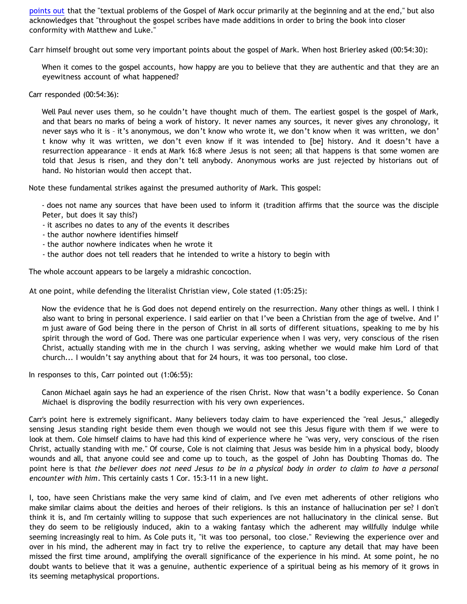[points out](http://www.religion-online.org/showchapter.asp?title=1116&C=1228) that the "textual problems of the Gospel of Mark occur primarily at the beginning and at the end," but also acknowledges that "throughout the gospel scribes have made additions in order to bring the book into closer conformity with Matthew and Luke."

Carr himself brought out some very important points about the gospel of Mark. When host Brierley asked (00:54:30):

When it comes to the gospel accounts, how happy are you to believe that they are authentic and that they are an eyewitness account of what happened?

Carr responded (00:54:36):

Well Paul never uses them, so he couldn't have thought much of them. The earliest gospel is the gospel of Mark, and that bears no marks of being a work of history. It never names any sources, it never gives any chronology, it never says who it is – it's anonymous, we don't know who wrote it, we don't know when it was written, we don' t know why it was written, we don't even know if it was intended to [be] history. And it doesn't have a resurrection appearance – it ends at Mark 16:8 where Jesus is not seen; all that happens is that some women are told that Jesus is risen, and they don't tell anybody. Anonymous works are just rejected by historians out of hand. No historian would then accept that.

Note these fundamental strikes against the presumed authority of Mark. This gospel:

- does not name any sources that have been used to inform it (tradition affirms that the source was the disciple Peter, but does it say this?)

- it ascribes no dates to any of the events it describes
- the author nowhere identifies himself
- the author nowhere indicates when he wrote it
- the author does not tell readers that he intended to write a history to begin with

The whole account appears to be largely a midrashic concoction.

At one point, while defending the literalist Christian view, Cole stated (1:05:25):

Now the evidence that he is God does not depend entirely on the resurrection. Many other things as well. I think I also want to bring in personal experience. I said earlier on that I've been a Christian from the age of twelve. And I' m just aware of God being there in the person of Christ in all sorts of different situations, speaking to me by his spirit through the word of God. There was one particular experience when I was very, very conscious of the risen Christ, actually standing with me in the church I was serving, asking whether we would make him Lord of that church... I wouldn't say anything about that for 24 hours, it was too personal, too close.

In responses to this, Carr pointed out (1:06:55):

Canon Michael again says he had an experience of the risen Christ. Now that wasn't a bodily experience. So Conan Michael is disproving the bodily resurrection with his very own experiences.

Carr's point here is extremely significant. Many believers today claim to have experienced the "real Jesus," allegedly sensing Jesus standing right beside them even though we would not see this Jesus figure with them if we were to look at them. Cole himself claims to have had this kind of experience where he "was very, very conscious of the risen Christ, actually standing with me." Of course, Cole is not claiming that Jesus was beside him in a physical body, bloody wounds and all, that anyone could see and come up to touch, as the gospel of John has Doubting Thomas do. The point here is that *the believer does not need Jesus to be in a physical body in order to claim to have a personal encounter with him*. This certainly casts 1 Cor. 15:3-11 in a new light.

I, too, have seen Christians make the very same kind of claim, and I've even met adherents of other religions who make similar claims about the deities and heroes of their religions. Is this an instance of hallucination per se? I don't think it is, and I'm certainly willing to suppose that such experiences are not hallucinatory in the clinical sense. But they do seem to be religiously induced, akin to a waking fantasy which the adherent may willfully indulge while seeming increasingly real to him. As Cole puts it, "it was too personal, too close." Reviewing the experience over and over in his mind, the adherent may in fact try to relive the experience, to capture any detail that may have been missed the first time around, amplifying the overall significance of the experience in his mind. At some point, he no doubt wants to believe that it was a genuine, authentic experience of a spiritual being as his memory of it grows in its seeming metaphysical proportions.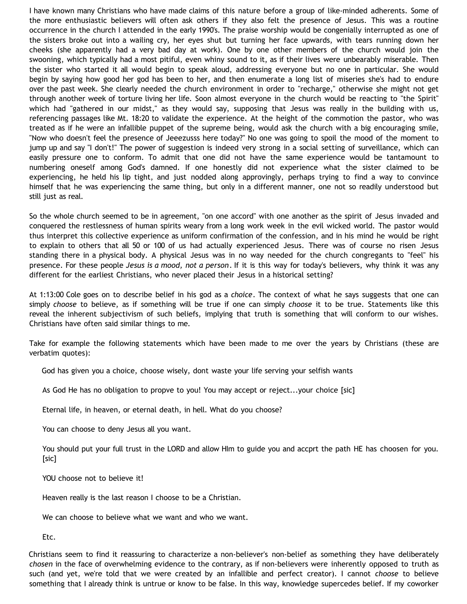I have known many Christians who have made claims of this nature before a group of like-minded adherents. Some of the more enthusiastic believers will often ask others if they also felt the presence of Jesus. This was a routine occurrence in the church I attended in the early 1990's. The praise worship would be congenially interrupted as one of the sisters broke out into a wailing cry, her eyes shut but turning her face upwards, with tears running down her cheeks (she apparently had a very bad day at work). One by one other members of the church would join the swooning, which typically had a most pitiful, even whiny sound to it, as if their lives were unbearably miserable. Then the sister who started it all would begin to speak aloud, addressing everyone but no one in particular. She would begin by saying how good her god has been to her, and then enumerate a long list of miseries she's had to endure over the past week. She clearly needed the church environment in order to "recharge," otherwise she might not get through another week of torture living her life. Soon almost everyone in the church would be reacting to "the Spirit" which had "gathered in our midst," as they would say, supposing that Jesus was really in the building with us, referencing passages like Mt. 18:20 to validate the experience. At the height of the commotion the pastor, who was treated as if he were an infallible puppet of the supreme being, would ask the church with a big encouraging smile, "Now who doesn't feel the presence of Jeeezusss here today?" No one was going to spoil the mood of the moment to jump up and say "I don't!" The power of suggestion is indeed very strong in a social setting of surveillance, which can easily pressure one to conform. To admit that one did not have the same experience would be tantamount to numbering oneself among God's damned. If one honestly did not experience what the sister claimed to be experiencing, he held his lip tight, and just nodded along approvingly, perhaps trying to find a way to convince himself that he was experiencing the same thing, but only in a different manner, one not so readily understood but still just as real.

So the whole church seemed to be in agreement, "on one accord" with one another as the spirit of Jesus invaded and conquered the restlessness of human spirits weary from a long work week in the evil wicked world. The pastor would thus interpret this collective experience as uniform confirmation of the confession, and in his mind he would be right to explain to others that all 50 or 100 of us had actually experienced Jesus. There was of course no risen Jesus standing there in a physical body. A physical Jesus was in no way needed for the church congregants to "feel" his presence. For these people *Jesus is a mood, not a person*. If it is this way for today's believers, why think it was any different for the earliest Christians, who never placed their Jesus in a historical setting?

At 1:13:00 Cole goes on to describe belief in his god as a *choice*. The context of what he says suggests that one can simply *choose* to believe, as if something will be true if one can simply *choose* it to be true. Statements like this reveal the inherent subjectivism of such beliefs, implying that truth is something that will conform to our wishes. Christians have often said similar things to me.

Take for example the following statements which have been made to me over the years by Christians (these are verbatim quotes):

God has given you a choice, choose wisely, dont waste your life serving your selfish wants

As God He has no obligation to propve to you! You may accept or reject...your choice [sic]

Eternal life, in heaven, or eternal death, in hell. What do you choose?

You can choose to deny Jesus all you want.

You should put your full trust in the LORD and allow HIm to guide you and accprt the path HE has choosen for you. [sic]

YOU choose not to believe it!

Heaven really is the last reason I choose to be a Christian.

We can choose to believe what we want and who we want.

Etc.

Christians seem to find it reassuring to characterize a non-believer's non-belief as something they have deliberately *chosen* in the face of overwhelming evidence to the contrary, as if non-believers were inherently opposed to truth as such (and yet, we're told that we were created by an infallible and perfect creator). I cannot *choose* to believe something that I already think is untrue or know to be false. In this way, knowledge supercedes belief. If my coworker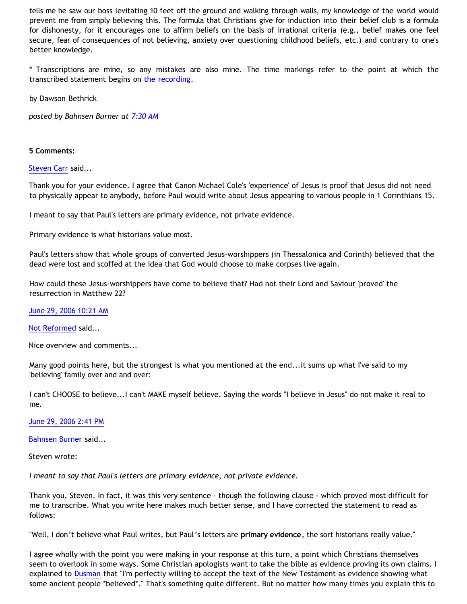tells me he saw our boss levitating 10 feet off the ground and walking through walls, my knowledge of the world would prevent me from simply believing this. The formula that Christians give for induction into their belief club is a formula for dishonesty, for it encourages one to affirm beliefs on the basis of irrational criteria (e.g., belief makes one feel secure, fear of consequences of not believing, anxiety over questioning childhood beliefs, etc.) and contrary to one's better knowledge.

\* Transcriptions are mine, so any mistakes are also mine. The time markings refer to the point at which the transcribed statement begins on [the recording](http://tinyurl.com/krdcq).

by Dawson Bethrick

*posted by Bahnsen Burner at [7:30 AM](http://bahnsenburner.blogspot.com/2006/06/carr-vs-cole.html)*

## **5 Comments:**

[Steven Carr](http://www.blogger.com/profile/9403637) said...

Thank you for your evidence. I agree that Canon Michael Cole's 'experience' of Jesus is proof that Jesus did not need to physically appear to anybody, before Paul would write about Jesus appearing to various people in 1 Corinthians 15.

I meant to say that Paul's letters are primary evidence, not private evidence.

Primary evidence is what historians value most.

Paul's letters show that whole groups of converted Jesus-worshippers (in Thessalonica and Corinth) believed that the dead were lost and scoffed at the idea that God would choose to make corpses live again.

How could these Jesus-worshippers have come to believe that? Had not their Lord and Saviour 'proved' the resurrection in Matthew 22?

[June 29, 2006 10:21 AM](http://bahnsenburner.blogspot.com/2006/06/115160166411232559)

[Not Reformed](http://www.blogger.com/profile/8159639) said...

Nice overview and comments...

Many good points here, but the strongest is what you mentioned at the end...it sums up what I've said to my 'believing' family over and and over:

I can't CHOOSE to believe...I can't MAKE myself believe. Saying the words "I believe in Jesus" do not make it real to me.

[June 29, 2006 2:41 PM](http://bahnsenburner.blogspot.com/2006/06/115161731311276401)

[Bahnsen Burner](http://www.blogger.com/profile/7766918) said...

Steven wrote:

*I meant to say that Paul's letters are primary evidence, not private evidence.*

Thank you, Steven. In fact, it was this very sentence - though the following clause - which proved most difficult for me to transcribe. What you write here makes much better sense, and I have corrected the statement to read as follows:

"Well, I don't believe what Paul writes, but Paul's letters are **primary evidence**, the sort historians really value."

I agree wholly with the point you were making in your response at this turn, a point which Christians themselves seem to overlook in some ways. Some Christian apologists want to take the bible as evidence proving its own claims. I explained to [Dusman](http://www.geocities.com/katholon/ContraDusman0106.htm) that "I'm perfectly willing to accept the text of the New Testament as evidence showing what some ancient people \*believed\*." That's something quite different. But no matter how many times you explain this to